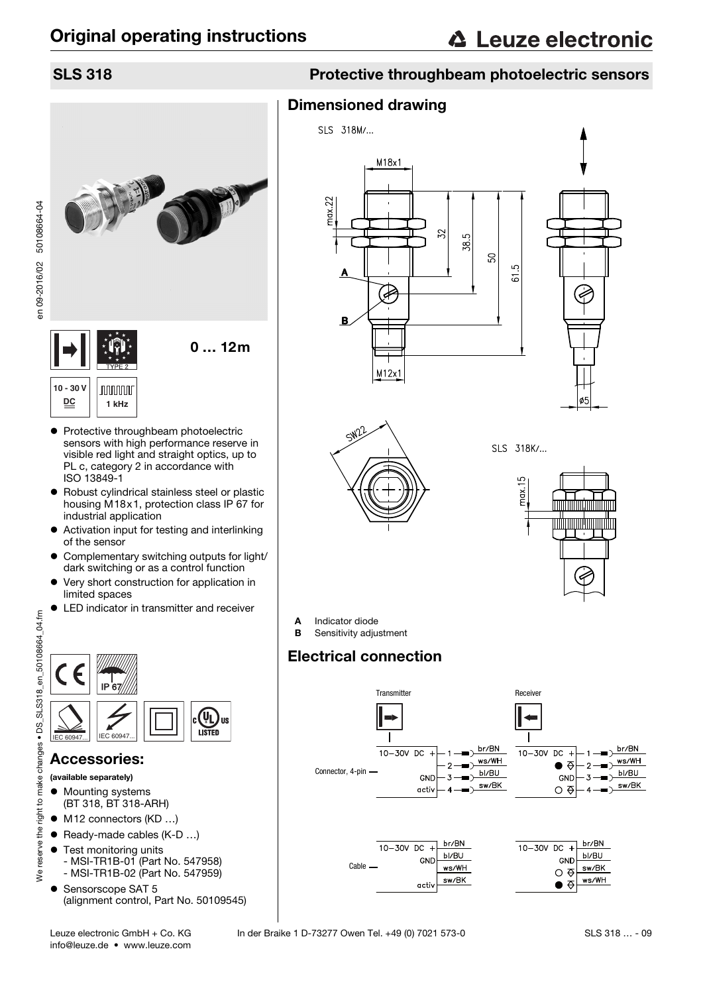50108664-04

en 09-2016/02

# 0 … 12m **10 - 30 V JUUUUUU DC 1 kHz**

- Protective throughbeam photoelectric sensors with high performance reserve in visible red light and straight optics, up to PL c, category 2 in accordance with ISO 13849-1
- Robust cylindrical stainless steel or plastic housing M18x1, protection class IP 67 for industrial application
- Activation input for testing and interlinking of the sensor
- Complementary switching outputs for light/ dark switching or as a control function
- Very short construction for application in limited spaces
- LED indicator in transmitter and receiver



## Accessories:

- (available separately)
- **•** Mounting systems (BT 318, BT 318-ARH)
- M12 connectors (KD ...)
- Ready-made cables (K-D ...)
- **•** Test monitoring units - MSI-TR1B-01 (Part No. 547958)
- MSI-TR1B-02 (Part No. 547959) ● Sensorscope SAT 5 (alignment control, Part No. 50109545)

## SLS 318 Protective throughbeam photoelectric sensors

## Dimensioned drawing





SLS 318K/...



A Indicator diode

**B** Sensitivity adjustment

# Electrical connection

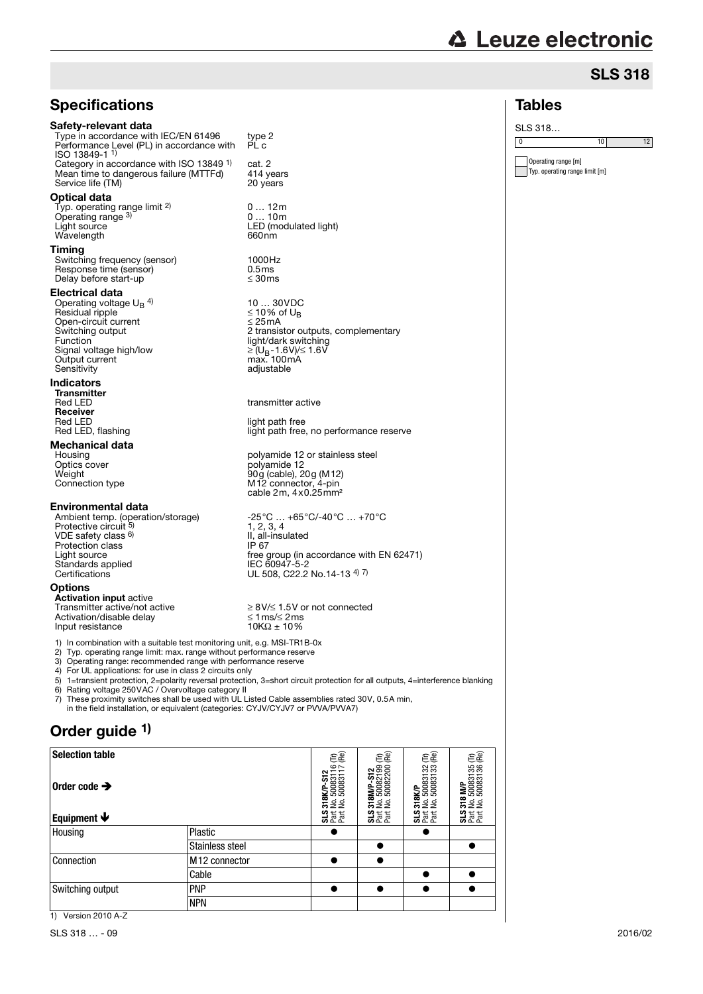# **∆ Leuze electronic**

Operating range [m] Typ. operating range limit [m]

Tables SLS 318…

## SLS 318

0  $10$  12

## **Specifications**

#### Safety-relevant data

Type in accordance with IEC/EN 61496 type 2 Performance Level (PL) in accordance with ISO 13849-1 1) PL c Category in accordance with ISO 13849<sup>1)</sup> cat. 2<br>Mean time to dangerous failure (MTTFd) 414 years Mean time to dangerous failure (MTTFd) 414 years<br>Service life (TM) 20 years Service life (TM)

#### Optical data

Typ. operating range limit <sup>2)</sup><br>Operating range <sup>3)</sup> Operating range <sup>3)</sup> 0 … 10m<br>Light source LED (modulated light) Wavelength 660nm

#### Timing

Switching frequency (sensor) 1000Hz Response time (sensor) 0.5ms  $\frac{1}{2}$  Delay before start-up  $\leq 30 \text{ ms}$ 

#### Electrical data

Operating voltage  $U_B$ <sup>4)</sup> Residual ripple  $\leq 10\%$  of U<sub>B</sub><br>Open-circuit current  $\leq 25\text{mA}$ Function light/dark switching Signal voltage high/low ≥ (UB-1.6V)/≤ 1.6V Output current<br>Sensitivity

#### Indicators

Transmitter<br>Red I FD **Receiver**<br>Red LED Red LED<br>
Red LED, flashing<br>
Red LED, flashing<br>  $\frac{1}{2}$  light path free

# **Mechanical data**<br>Housing

#### Environmental data

VDE safety class 6) Protection class<br>Light source<br>Standards applied Certifications Certifications UL 508, C22.2 No.14-13  $\frac{4}{7}$ 

#### **Options**

**Activation input** active<br>Transmitter active/not active Activation/disable delay  $\le 1 \text{ ms} \le 2 \text{ ms}$ <br>Input resistance  $10K\Omega \pm 10\%$ Input resistance

1) In combination with a suitable test monitoring unit, e.g. MSI-TR1B-0x<br>2) Typ. operating range limit: max. range without performance reserve 2) Typ. operating range limit: max. range without performance reserve

Operating range: recommended range with performance reserve

4) For UL applications: for use in class 2 circuits only<br>5) 1=transient protection. 2=polarity reversal protection

5) 1=transient protection, 2=polarity reversal protection, 3=short circuit protection for all outputs, 4=interference blanking 6) Rating voltage 250VAC / Overvoltage category II

7) These proximity switches shall be used with UL Listed Cable assemblies rated 30V, 0.5A min, in the field installation, or equivalent (categories: CYJV/CYJV7 or PVVA/PVVA7)

## Order quide <sup>1)</sup>

| <b>Selection table</b>    |                           | ΕÊ                                         | ΕÊ                                         | ΕÊ                                     | ΕÊ                                                    |
|---------------------------|---------------------------|--------------------------------------------|--------------------------------------------|----------------------------------------|-------------------------------------------------------|
| Order code $\rightarrow$  |                           | 318K/P-S12<br>No. 50083116<br>No. 50083117 | 318M/P-S12<br>No. 50082199<br>No. 50082200 | 318K/P<br>No. 50083132<br>No. 50083133 | <b>IM/P</b><br>50083135<br>50083136<br><u>នក្ខក្ខ</u> |
| Equipment $\blacklozenge$ |                           | <b>35 Ferre</b>                            | <b>3555</b>                                | <b>35</b> Fat                          | <b>35</b> Fat                                         |
| Housing                   | Plastic                   | ●                                          |                                            |                                        |                                                       |
|                           | Stainless steel           |                                            |                                            |                                        | $\bullet$                                             |
| Connection                | M <sub>12</sub> connector | $\bullet$                                  |                                            |                                        |                                                       |
|                           | Cable                     |                                            |                                            | $\bullet$                              | $\bullet$                                             |
| Switching output          | <b>PNP</b>                | ●                                          |                                            | ●                                      |                                                       |
|                           | <b>NPN</b>                |                                            |                                            |                                        |                                                       |

0 … 12m

10 ... 30VDC<br>≤ 10% of U<sub>B</sub><br>≤ 25mA Switching output 2 transistor outputs, complementary adjustable

transmitter active

light path free, no performance reserve

Housing polyamide 12 or stainless steel<br>Optics cover<br>Weight 90g (cable), 20g (M12) Optics cover polyamide 12 Weight 90g (cable), 20g (M12) Connection type M12 connector, 4-pin cable 2m, 4x0.25mm²

Ambient temp. (operation/storage) -25°C … +65°C/-40°C … +70°C Protective circuit 5)  $-25^{\circ}$ C ...  $+65^{\circ}$ C/-40 $^{\circ}$ C ...  $+70^{\circ}$ C<br>1, 2, 3, 4 II, all-insulated<br>IP 67 Light source free group (in accordance with EN 62471) Standards applied IEC 60947-5-2

 $≥ 8V/≤ 1.5V$  or not connected<br> ≤ 1 ms/≤ 2 ms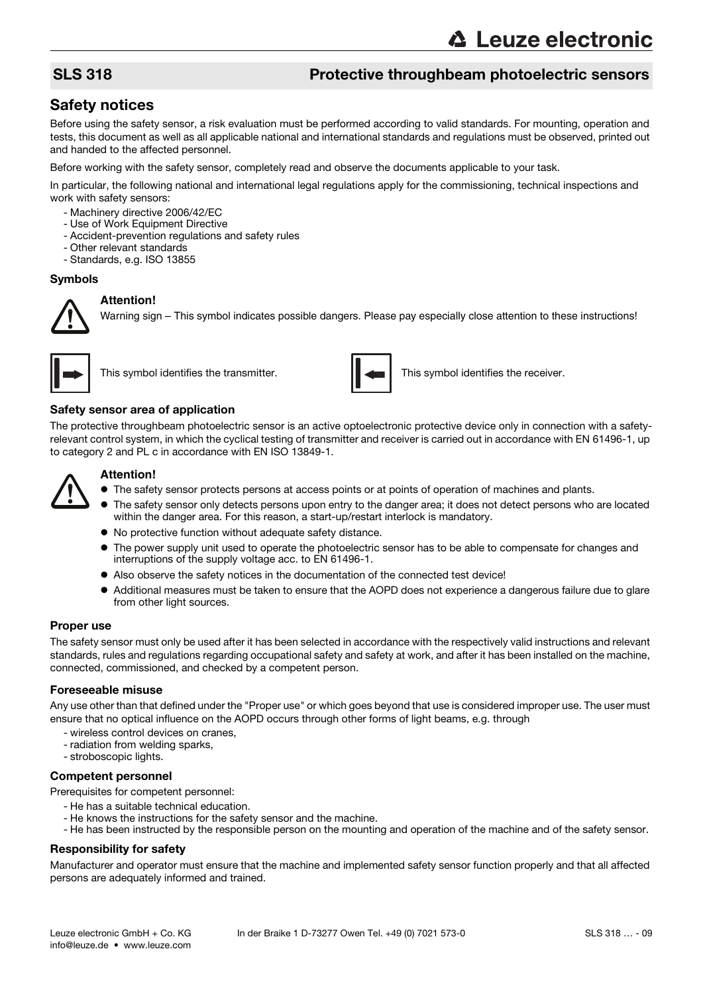## SLS 318 Protective throughbeam photoelectric sensors

## Safety notices

Before using the safety sensor, a risk evaluation must be performed according to valid standards. For mounting, operation and tests, this document as well as all applicable national and international standards and regulations must be observed, printed out and handed to the affected personnel.

Before working with the safety sensor, completely read and observe the documents applicable to your task.

In particular, the following national and international legal regulations apply for the commissioning, technical inspections and work with safety sensors:

- Machinery directive 2006/42/EC
- Use of Work Equipment Directive
- Accident-prevention regulations and safety rules
- Other relevant standards
- Standards, e.g. ISO 13855

#### Symbols

#### **Attention!**

Warning sign – This symbol indicates possible dangers. Please pay especially close attention to these instructions!





This symbol identifies the transmitter. This symbol identifies the receiver.

#### Safety sensor area of application

The protective throughbeam photoelectric sensor is an active optoelectronic protective device only in connection with a safetyrelevant control system, in which the cyclical testing of transmitter and receiver is carried out in accordance with EN 61496-1, up to category 2 and PL c in accordance with EN ISO 13849-1.



#### **Attention!**

- $\bullet$  The safety sensor protects persons at access points or at points of operation of machines and plants.
- The safety sensor only detects persons upon entry to the danger area; it does not detect persons who are located within the danger area. For this reason, a start-up/restart interlock is mandatory.
- No protective function without adequate safety distance.
- The power supply unit used to operate the photoelectric sensor has to be able to compensate for changes and interruptions of the supply voltage acc. to EN 61496-1.
- Also observe the safety notices in the documentation of the connected test device!
- Additional measures must be taken to ensure that the AOPD does not experience a dangerous failure due to glare from other light sources.

#### Proper use

The safety sensor must only be used after it has been selected in accordance with the respectively valid instructions and relevant standards, rules and regulations regarding occupational safety and safety at work, and after it has been installed on the machine, connected, commissioned, and checked by a competent person.

#### Foreseeable misuse

Any use other than that defined under the "Proper use" or which goes beyond that use is considered improper use. The user must ensure that no optical influence on the AOPD occurs through other forms of light beams, e.g. through

- wireless control devices on cranes,
- radiation from welding sparks,
- stroboscopic lights.

#### Competent personnel

Prerequisites for competent personnel:

- He has a suitable technical education.
- He knows the instructions for the safety sensor and the machine.
- He has been instructed by the responsible person on the mounting and operation of the machine and of the safety sensor.

#### Responsibility for safety

Manufacturer and operator must ensure that the machine and implemented safety sensor function properly and that all affected persons are adequately informed and trained.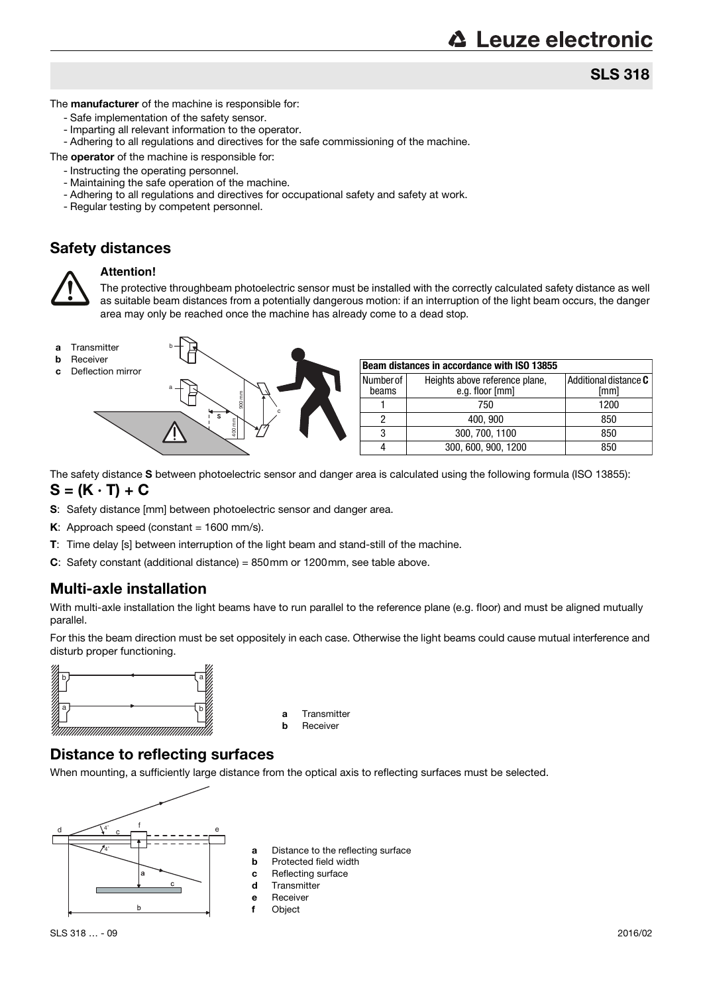## SLS 318

The **manufacturer** of the machine is responsible for:

- Safe implementation of the safety sensor.
- Imparting all relevant information to the operator.
- Adhering to all regulations and directives for the safe commissioning of the machine.

The **operator** of the machine is responsible for:

- Instructing the operating personnel.
- Maintaining the safe operation of the machine.
- Adhering to all regulations and directives for occupational safety and safety at work.
- Regular testing by competent personnel.

## Safety distances



#### **Attention!**

The protective throughbeam photoelectric sensor must be installed with the correctly calculated safety distance as well as suitable beam distances from a potentially dangerous motion: if an interruption of the light beam occurs, the danger area may only be reached once the machine has already come to a dead stop.



- 
- **b** Receiver<br>**c** Deflection mirror



| Beam distances in accordance with ISO 13855 |                                                   |                               |  |  |  |
|---------------------------------------------|---------------------------------------------------|-------------------------------|--|--|--|
| Number of<br>beams                          | Heights above reference plane,<br>e.g. floor [mm] | Additional distance C<br>[mm] |  |  |  |
|                                             | 750                                               | 1200                          |  |  |  |
|                                             | 400, 900                                          | 850                           |  |  |  |
| 3                                           | 300, 700, 1100                                    | 850                           |  |  |  |
|                                             | 300, 600, 900, 1200                               | 850                           |  |  |  |

The safety distance S between photoelectric sensor and danger area is calculated using the following formula (ISO 13855):

#### $S = (K \cdot T) + C$

- S: Safety distance [mm] between photoelectric sensor and danger area.
- K: Approach speed (constant =  $1600$  mm/s).
- T: Time delay [s] between interruption of the light beam and stand-still of the machine.
- C: Safety constant (additional distance) = 850mm or 1200mm, see table above.

## Multi-axle installation

With multi-axle installation the light beams have to run parallel to the reference plane (e.g. floor) and must be aligned mutually parallel.

For this the beam direction must be set oppositely in each case. Otherwise the light beams could cause mutual interference and disturb proper functioning.



- a Transmitter
- **b** Receiver

## Distance to reflecting surfaces

When mounting, a sufficiently large distance from the optical axis to reflecting surfaces must be selected.



- a Distance to the reflecting surface
- **b** Protected field width
- c Reflecting surface
- d Transmitter
- e Receiver
- f Object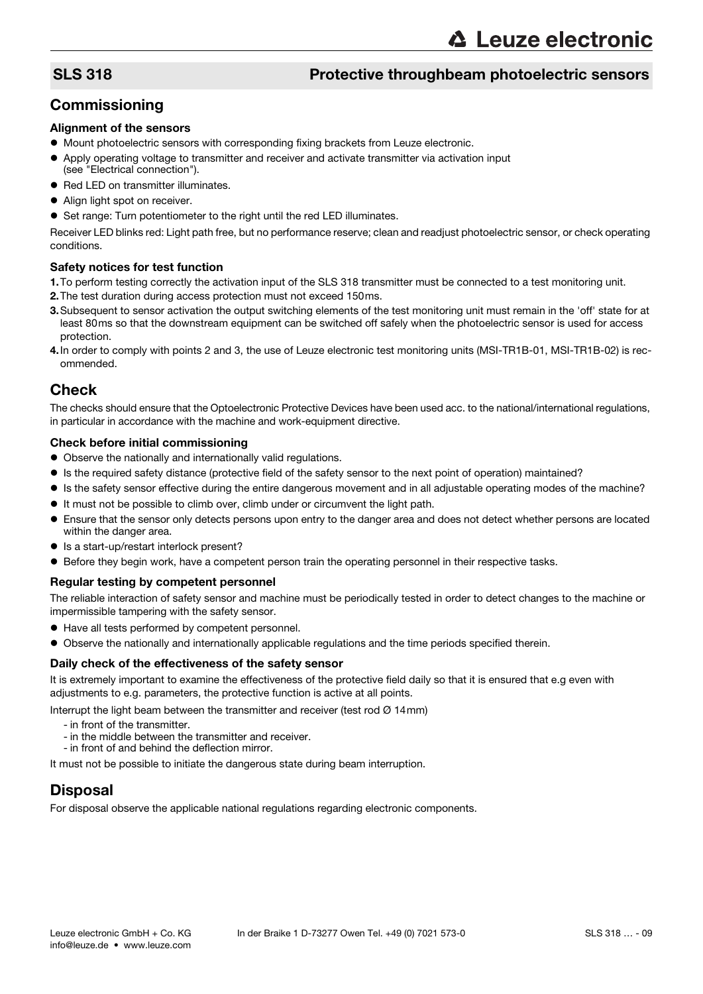## SLS 318 Protective throughbeam photoelectric sensors

## **Commissioning**

#### Alignment of the sensors

- $\bullet$  Mount photoelectric sensors with corresponding fixing brackets from Leuze electronic.
- Apply operating voltage to transmitter and receiver and activate transmitter via activation input (see "Electrical connection").
- Red LED on transmitter illuminates.
- Align light spot on receiver.
- Set range: Turn potentiometer to the right until the red LED illuminates.

Receiver LED blinks red: Light path free, but no performance reserve; clean and readjust photoelectric sensor, or check operating conditions.

#### Safety notices for test function

- 1.To perform testing correctly the activation input of the SLS 318 transmitter must be connected to a test monitoring unit.
- 2.The test duration during access protection must not exceed 150ms.
- 3.Subsequent to sensor activation the output switching elements of the test monitoring unit must remain in the 'off' state for at least 80ms so that the downstream equipment can be switched off safely when the photoelectric sensor is used for access protection.
- 4.In order to comply with points 2 and 3, the use of Leuze electronic test monitoring units (MSI-TR1B-01, MSI-TR1B-02) is recommended.

### **Check**

The checks should ensure that the Optoelectronic Protective Devices have been used acc. to the national/international regulations, in particular in accordance with the machine and work-equipment directive.

#### Check before initial commissioning

- Observe the nationally and internationally valid regulations.
- Is the required safety distance (protective field of the safety sensor to the next point of operation) maintained?
- Is the safety sensor effective during the entire dangerous movement and in all adjustable operating modes of the machine?
- It must not be possible to climb over, climb under or circumvent the light path.
- Ensure that the sensor only detects persons upon entry to the danger area and does not detect whether persons are located within the danger area.
- Is a start-up/restart interlock present?
- Before they begin work, have a competent person train the operating personnel in their respective tasks.

#### Regular testing by competent personnel

The reliable interaction of safety sensor and machine must be periodically tested in order to detect changes to the machine or impermissible tampering with the safety sensor.

- Have all tests performed by competent personnel.
- Observe the nationally and internationally applicable regulations and the time periods specified therein.

#### Daily check of the effectiveness of the safety sensor

It is extremely important to examine the effectiveness of the protective field daily so that it is ensured that e.g even with adjustments to e.g. parameters, the protective function is active at all points.

Interrupt the light beam between the transmitter and receiver (test rod Ø 14mm)

- in front of the transmitter.
- in the middle between the transmitter and receiver.
- in front of and behind the deflection mirror.

It must not be possible to initiate the dangerous state during beam interruption.

## Disposal

For disposal observe the applicable national regulations regarding electronic components.